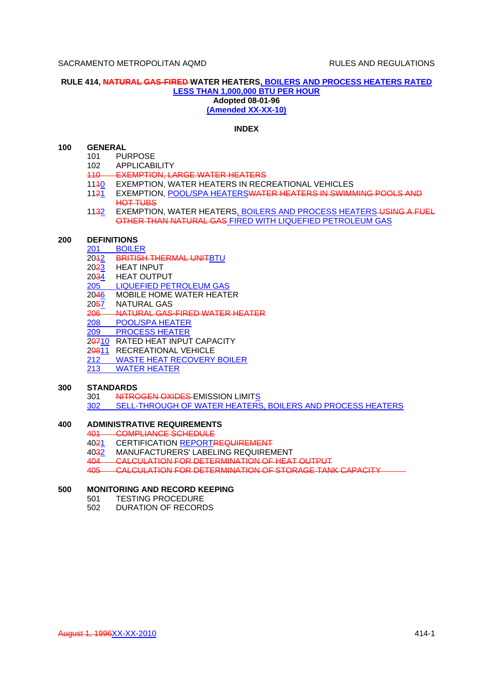## **RULE 414, NATURAL GAS-FIRED WATER HEATERS, BOILERS AND PROCESS HEATERS RATED LESS THAN 1,000,000 BTU PER HOUR Adopted 08-01-96 (Amended XX-XX-10)**

## **INDEX**

# **100 GENERAL**

- 101 PURPOSE
- 102 APPLICABILITY
- 110 EXEMPTION, LARGE WATER HEATERS
- 
- 1140 EXEMPTION, WATER HEATERS IN RECREATIONAL VEHICLES<br>1121 EXEMPTION, POOL/SPA HEATERS WATER HEATERS IN SWIMN EXEMPTION, POOL/SPA HEATERSWATER HEATERS IN SWIMMING POOLS AND HOT TUBS
- 1132 EXEMPTION, WATER HEATERS, BOILERS AND PROCESS HEATERS USING A FUEL OTHER THAN NATURAL GAS FIRED WITH LIQUEFIED PETROLEUM GAS

#### **200 DEFINITIONS**

- 201 BOILER<br>20<del>1</del>2 BRITISH
- **BRITISH THERMAL UNITBTU**
- 2023 HEAT INPUT<br>2034 HEAT OUTPU
- **HEAT OUTPUT**
- 205 LIQUEFIED PETROLEUM GAS
- 2046 MOBILE HOME WATER HEATER
- 2057 NATURAL GAS
- 206 NATURAL GAS-FIRED WATER HEATER
- 208 POOL/SPA HEATER
- 209 PROCESS HEATER
- 20710 RATED HEAT INPUT CAPACITY
- 20811 RECREATIONAL VEHICLE
- 212 WASTE HEAT RECOVERY BOILER
- 213 WATER HEATER

#### **300 STANDARDS**

- 301 NITROGEN OXIDES-EMISSION LIMITS
- 302 SELL-THROUGH OF WATER HEATERS, BOILERS AND PROCESS HEATERS

## **400 ADMINISTRATIVE REQUIREMENTS**

- 401 COMPLIANCE SCHEDULE
- 4021 CERTIFICATION REPORTREQUIREMENT
- 4032 MANUFACTURERS' LABELING REQUIREMENT
- 404 CALCULATION FOR DETERMINATION OF HEAT OUTPUT

405 CALCULATION FOR DETERMINATION OF STORAGE TANK CAPACITY

## **500 MONITORING AND RECORD KEEPING**

- 501 TESTING PROCEDURE
- 502 DURATION OF RECORDS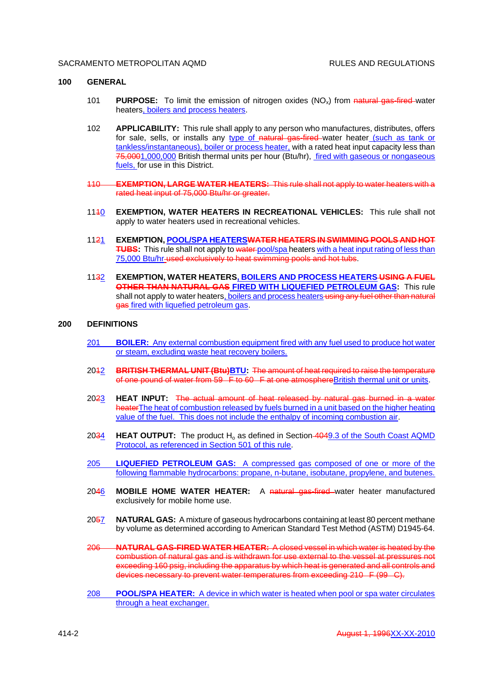#### **100 GENERAL**

- 101 **PURPOSE:** To limit the emission of nitrogen oxides (NOx) from natural gas-fired water heaters, boilers and process heaters.
- 102 **APPLICABILITY:** This rule shall apply to any person who manufactures, distributes, offers for sale, sells, or installs any type of natural gas-fired water heater (such as tank or tankless/instantaneous), boiler or process heater, with a rated heat input capacity less than 75,0001,000,000 British thermal units per hour (Btu/hr), fired with gaseous or nongaseous fuels, for use in this District.
- 110 **EXEMPTION, LARGE WATER HEATERS:** This rule shall not apply to water heaters with a rated heat input of 75,000 Btu/hr or greater.
- 1140 **EXEMPTION, WATER HEATERS IN RECREATIONAL VEHICLES:** This rule shall not apply to water heaters used in recreational vehicles.
- 1121 **EXEMPTION, POOL/SPA HEATERSWATER HEATERS IN SWIMMING POOLS AND HOT TUBS:** This rule shall not apply to water-pool/spa heaters with a heat input rating of less than 75,000 Btu/hr used exclusively to heat swimming pools and hot tubs.
- 1132 **EXEMPTION, WATER HEATERS, BOILERS AND PROCESS HEATERS USING A FUEL OTHER THAN NATURAL GAS FIRED WITH LIQUEFIED PETROLEUM GAS:** This rule shall not apply to water heaters, boilers and process heaters using any fuel other than natural gas fired with liquefied petroleum gas.

### **200 DEFINITIONS**

- 201 **BOILER:** Any external combustion equipment fired with any fuel used to produce hot water or steam, excluding waste heat recovery boilers.
- 2012 **BRITISH THERMAL UNIT (Btu)BTU:** The amount of heat required to raise the temperature of one pound of water from 59 F to 60 F at one atmosphere British thermal unit or units.
- 2023 **HEAT INPUT:** The actual amount of heat released by natural gas burned in a water heaterThe heat of combustion released by fuels burned in a unit based on the higher heating value of the fuel. This does not include the enthalpy of incoming combustion air.
- 2034 **HEAT OUTPUT:** The product H<sub>o</sub> as defined in Section-4049.3 of the South Coast AQMD Protocol, as referenced in Section 501 of this rule.
- 205 **LIQUEFIED PETROLEUM GAS:** A compressed gas composed of one or more of the following flammable hydrocarbons: propane, n-butane, isobutane, propylene, and butenes.
- 2046 **MOBILE HOME WATER HEATER:** A natural gas-fired water heater manufactured exclusively for mobile home use.
- 2057 **NATURAL GAS:** A mixture of gaseous hydrocarbons containing at least 80 percent methane by volume as determined according to American Standard Test Method (ASTM) D1945-64.
- 206 **NATURAL GAS-FIRED WATER HEATER:** A closed vessel in which water is heated by the combustion of natural gas and is withdrawn for use external to the vessel at pressures not exceeding 160 psig, including the apparatus by which heat is generated and all controls and devices necessary to prevent water temperatures from exceeding 210 F (99 C).
- 208 **POOL/SPA HEATER:** A device in which water is heated when pool or spa water circulates through a heat exchanger.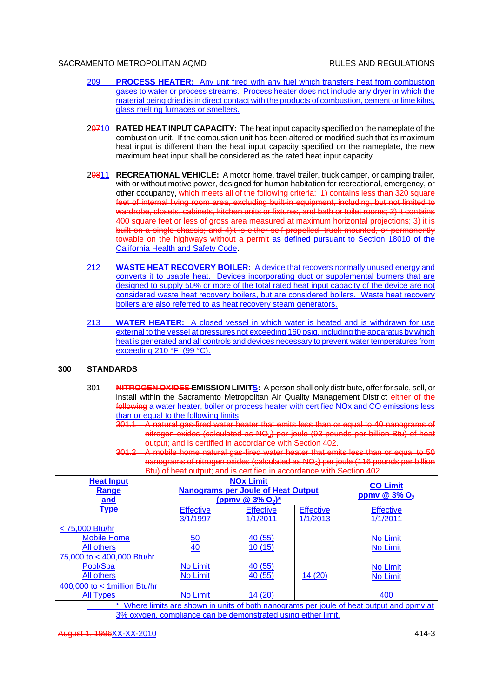- 209 **PROCESS HEATER:** Any unit fired with any fuel which transfers heat from combustion gases to water or process streams. Process heater does not include any dryer in which the material being dried is in direct contact with the products of combustion, cement or lime kilns, glass melting furnaces or smelters.
- 20710 **RATED HEAT INPUT CAPACITY:** The heat input capacity specified on the nameplate of the combustion unit. If the combustion unit has been altered or modified such that its maximum heat input is different than the heat input capacity specified on the nameplate, the new maximum heat input shall be considered as the rated heat input capacity.
- 20811 **RECREATIONAL VEHICLE:** A motor home, travel trailer, truck camper, or camping trailer, with or without motive power, designed for human habitation for recreational, emergency, or other occupancy, which meets all of the following criteria: 1) contains less than 320 square feet of internal living room area, excluding built-in equipment, including, but not limited to wardrobe, closets, cabinets, kitchen units or fixtures, and bath or toilet rooms; 2) it contains 400 square feet or less of gross area measured at maximum horizontal projections; 3) it is built on a single chassis; and 4)it is either self propelled, truck mounted, or permanently towable on the highways without a permit as defined pursuant to Section 18010 of the California Health and Safety Code.
- 212 **WASTE HEAT RECOVERY BOILER:** A device that recovers normally unused energy and converts it to usable heat. Devices incorporating duct or supplemental burners that are designed to supply 50% or more of the total rated heat input capacity of the device are not considered waste heat recovery boilers, but are considered boilers. Waste heat recovery boilers are also referred to as heat recovery steam generators.
- 213 **WATER HEATER:** A closed vessel in which water is heated and is withdrawn for use external to the vessel at pressures not exceeding 160 psig, including the apparatus by which heat is generated and all controls and devices necessary to prevent water temperatures from exceeding 210 °F (99 °C).

## **300 STANDARDS**

- 301 **NITROGEN OXIDES EMISSION LIMITS:** A person shall only distribute, offer for sale, sell, or install within the Sacramento Metropolitan Air Quality Management District-either of the following a water heater, boiler or process heater with certified NOx and CO emissions less than or equal to the following limits:
	- 301.1 A natural gas-fired water heater that emits less than or equal to 40 nanograms of nitrogen oxides (calculated as  $NQ_2$ ) per joule (93 pounds per billion Btu) of heat output; and is certified in accordance with Section 402.
	- 301.2 A mobile home natural gas-fired water heater that emits less than or equal to 50 nanograms of nitrogen oxides (calculated as  $NQ_2$ ) per joule (116 pounds per billion Btu) of heat output; and is certified in accordance with Section 402.

| <b>Heat Input</b><br>Range<br>and | <b>NOx Limit</b><br><b>Nanograms per Joule of Heat Output</b><br>(ppmv @ $3\%$ O <sub>2</sub> ) <sup>*</sup> |                              |                              | <b>CO Limit</b><br>ppmv @ $3\%$ O <sub>2</sub> |
|-----------------------------------|--------------------------------------------------------------------------------------------------------------|------------------------------|------------------------------|------------------------------------------------|
| <b>Type</b>                       | <b>Effective</b><br>3/1/1997                                                                                 | <b>Effective</b><br>1/1/2011 | <b>Effective</b><br>1/1/2013 | <b>Effective</b><br>1/1/2011                   |
| < 75,000 Btu/hr                   |                                                                                                              |                              |                              |                                                |
| <b>Mobile Home</b>                | 50                                                                                                           | 40(55)                       |                              | No Limit                                       |
| All others                        | 40                                                                                                           | 10(15)                       |                              | No Limit                                       |
| 75,000 to < 400,000 Btu/hr        |                                                                                                              |                              |                              |                                                |
| Pool/Spa                          | <b>No Limit</b>                                                                                              | 40(55)                       |                              | No Limit                                       |
| All others                        | No Limit                                                                                                     | 40(55)                       | 14(20)                       | No Limit                                       |
| 400,000 to $<$ 1 million Btu/hr   |                                                                                                              |                              |                              |                                                |
| <b>All Types</b>                  | <b>No Limit</b>                                                                                              | 14(20)                       |                              | 400                                            |

Where limits are shown in units of both nanograms per joule of heat output and ppmy at 3% oxygen, compliance can be demonstrated using either limit.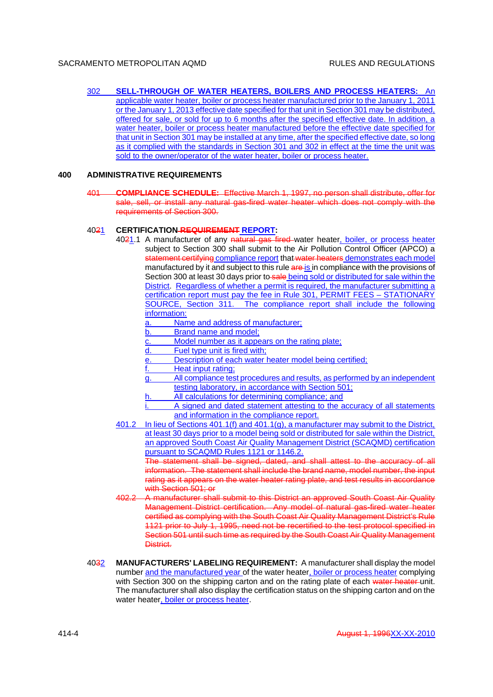302 **SELL-THROUGH OF WATER HEATERS, BOILERS AND PROCESS HEATERS:** An applicable water heater, boiler or process heater manufactured prior to the January 1, 2011 or the January 1, 2013 effective date specified for that unit in Section 301 may be distributed, offered for sale, or sold for up to 6 months after the specified effective date. In addition, a water heater, boiler or process heater manufactured before the effective date specified for that unit in Section 301 may be installed at any time, after the specified effective date, so long as it complied with the standards in Section 301 and 302 in effect at the time the unit was sold to the owner/operator of the water heater, boiler or process heater.

#### **400 ADMINISTRATIVE REQUIREMENTS**

401 **COMPLIANCE SCHEDULE:** Effective March 1, 1997, no person shall distribute, offer for sale, sell, or install any natural gas-fired water heater which does not comply with the requirements of Section 300.

## 4021 **CERTIFICATION REQUIREMENT REPORT:**

- 4021.1 A manufacturer of any natural gas fired water heater, boiler, or process heater subject to Section 300 shall submit to the Air Pollution Control Officer (APCO) a statement certifying compliance report that water heaters demonstrates each model manufactured by it and subject to this rule are is in compliance with the provisions of Section 300 at least 30 days prior to sale being sold or distributed for sale within the District. Regardless of whether a permit is required, the manufacturer submitting a certification report must pay the fee in Rule 301, PERMIT FEES – STATIONARY SOURCE, Section 311. The compliance report shall include the following information:
	- a. Name and address of manufacturer;
	- b. Brand name and model;
	- c. Model number as it appears on the rating plate;
	- d. Fuel type unit is fired with;
	- e. Description of each water heater model being certified;
	- Heat input rating;
	- g. All compliance test procedures and results, as performed by an independent testing laboratory, in accordance with Section 501;
	- h. All calculations for determining compliance; and
	- A signed and dated statement attesting to the accuracy of all statements and information in the compliance report.
- 401.2 In lieu of Sections 401.1(f) and 401.1(g), a manufacturer may submit to the District, at least 30 days prior to a model being sold or distributed for sale within the District, an approved South Coast Air Quality Management District (SCAQMD) certification pursuant to SCAQMD Rules 1121 or 1146.2.

The statement shall be signed, dated, and shall attest to the accuracy of all information. The statement shall include the brand name, model number, the input rating as it appears on the water heater rating plate, and test results in accordance with Section 501; or

- 402.2 A manufacturer shall submit to this District an approved South Coast Air Quality Management District certification. Any model of natural gas-fired water heater certified as complying with the South Coast Air Quality Management District's Rule 1121 prior to July 1, 1995, need not be recertified to the test protocol specified in Section 501 until such time as required by the South Coast Air Quality Management District.
- 4032 **MANUFACTURERS' LABELING REQUIREMENT:** A manufacturer shall display the model number and the manufactured year of the water heater, boiler or process heater complying with Section 300 on the shipping carton and on the rating plate of each water heater unit. The manufacturer shall also display the certification status on the shipping carton and on the water heater, boiler or process heater.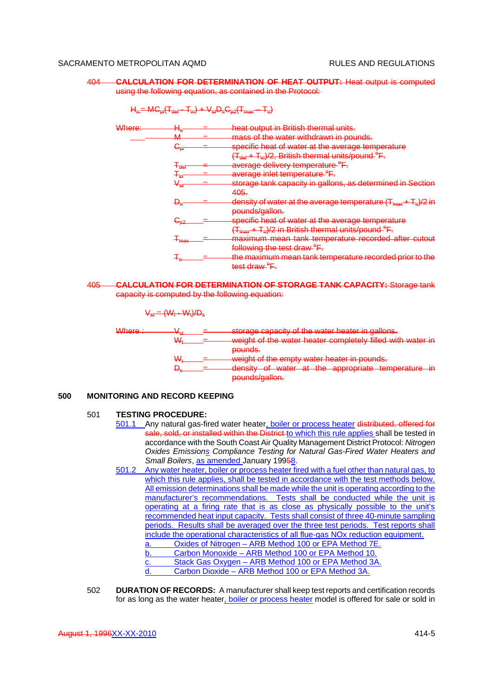404 **CALCULATION FOR DETERMINATION OF HEAT OUTPUT:** Heat output is computed using the following equation, as contained in the Protocol:

 $H_0 = MG_{pi}(T_{dd} - T_{in}) + V_{st}D_nC_{p2}(T_{max} - T_{o})$ 

| <del>Where:</del> | $H_{\mathbf{Q}}$ | heat output in British thermal units.                                                 |
|-------------------|------------------|---------------------------------------------------------------------------------------|
|                   | NЛ<br>TVT        | mass of the water withdrawn in pounds.                                                |
|                   | نوك              | specific heat of water at the average temperature                                     |
|                   |                  | $(T_{\text{def}} + T_{\text{in}})/2$ , British thermal units/pound- <sup>e</sup> F.   |
|                   | ∓аа              | average delivery temperature <sup>e</sup> F.                                          |
|                   |                  | average inlet temperature <sup>e</sup> F.                                             |
|                   | Vst              | storage tank capacity in gallons, as determined in Section                            |
|                   |                  | 405.                                                                                  |
|                   | Đ"               | density of water at the average temperature $(T_{\text{max}}+T_{\text{e}})/2$ in      |
|                   |                  | pounds/gallon.                                                                        |
|                   |                  | specific heat of water at the average temperature                                     |
|                   |                  | (T <sub>max</sub> + T <sub>e</sub> )/2 in British thermal units/pound <sup>e</sup> F. |
|                   | +may             | maximum mean tank temperature recorded after cutout                                   |
|                   |                  | following the test draw <sup>e</sup> F.                                               |
|                   |                  | the maximum mean tank temperature recorded prior to the                               |
|                   |                  | test draw- <sup>e</sup> F.                                                            |

<sup>405</sup> **CALCULATION FOR DETERMINATION OF STORAGE TANK CAPACITY:** Storage tank capacity is computed by the following equation:

|                 | $V_{\text{et}} = (W_f - W_t)/D_{\text{e}}$ |                                                                                                                                                                                                                                                                              |
|-----------------|--------------------------------------------|------------------------------------------------------------------------------------------------------------------------------------------------------------------------------------------------------------------------------------------------------------------------------|
| $Mh$ nn $\cdot$ |                                            | storage capacity of the water heater in gallons<br>woight of the water heater completely filled with water in                                                                                                                                                                |
|                 |                                            | pounde<br><del>vuunas.</del><br>woight of the empty water heater in pounds.<br>dopeity of water at the appropriate temperature in<br><del>ar mo approphato temperature in</del><br><del>ucnony</del><br>$\overline{\text{waw}}$<br>nounde/asilon<br><del>poundo ganon.</del> |

# **500 MONITORING AND RECORD KEEPING**

# 501 **TESTING PROCEDURE:**

- 501.1 Any natural gas-fired water heater, boiler or process heater distributed, offered for sale, sold, or installed within the District to which this rule applies shall be tested in accordance with the South Coast Air Quality Management District Protocol: *Nitrogen Oxides Emissions Compliance Testing for Natural Gas-Fired Water Heaters and Small Boilers*, as amended January 19958.
- 501.2 Any water heater, boiler or process heater fired with a fuel other than natural gas, to which this rule applies, shall be tested in accordance with the test methods below. All emission determinations shall be made while the unit is operating according to the manufacturer's recommendations. Tests shall be conducted while the unit is operating at a firing rate that is as close as physically possible to the unit's recommended heat input capacity. Tests shall consist of three 40-minute sampling periods. Results shall be averaged over the three test periods. Test reports shall include the operational characteristics of all flue-gas NOx reduction equipment. a. Oxides of Nitrogen – ARB Method 100 or EPA Method 7E. b. Carbon Monoxide – ARB Method 100 or EPA Method 10. c. Stack Gas Oxygen – ARB Method 100 or EPA Method 3A. d. Carbon Dioxide – ARB Method 100 or EPA Method 3A.
- 502 **DURATION OF RECORDS:** A manufacturer shall keep test reports and certification records for as long as the water heater, boiler or process heater model is offered for sale or sold in